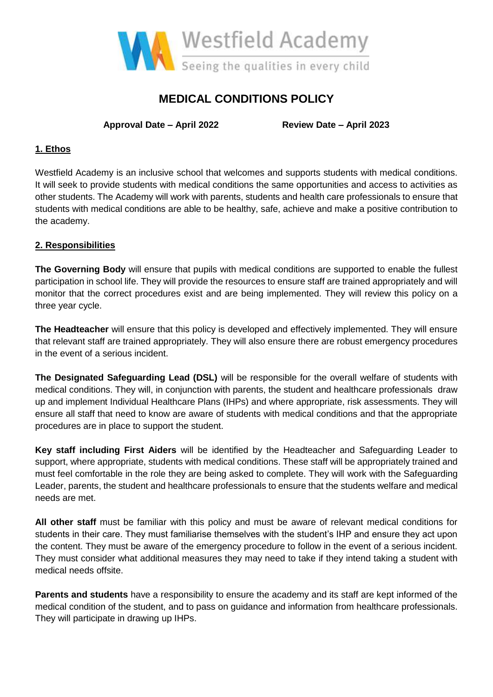

# **MEDICAL CONDITIONS POLICY**

**Approval Date – April 2022 Review Date – April 2023**

# **1. Ethos**

Westfield Academy is an inclusive school that welcomes and supports students with medical conditions. It will seek to provide students with medical conditions the same opportunities and access to activities as other students. The Academy will work with parents, students and health care professionals to ensure that students with medical conditions are able to be healthy, safe, achieve and make a positive contribution to the academy.

# **2. Responsibilities**

**The Governing Body** will ensure that pupils with medical conditions are supported to enable the fullest participation in school life. They will provide the resources to ensure staff are trained appropriately and will monitor that the correct procedures exist and are being implemented. They will review this policy on a three year cycle.

**The Headteacher** will ensure that this policy is developed and effectively implemented. They will ensure that relevant staff are trained appropriately. They will also ensure there are robust emergency procedures in the event of a serious incident.

**The Designated Safeguarding Lead (DSL)** will be responsible for the overall welfare of students with medical conditions. They will, in conjunction with parents, the student and healthcare professionals draw up and implement Individual Healthcare Plans (IHPs) and where appropriate, risk assessments. They will ensure all staff that need to know are aware of students with medical conditions and that the appropriate procedures are in place to support the student.

**Key staff including First Aiders** will be identified by the Headteacher and Safeguarding Leader to support, where appropriate, students with medical conditions. These staff will be appropriately trained and must feel comfortable in the role they are being asked to complete. They will work with the Safeguarding Leader, parents, the student and healthcare professionals to ensure that the students welfare and medical needs are met.

**All other staff** must be familiar with this policy and must be aware of relevant medical conditions for students in their care. They must familiarise themselves with the student's IHP and ensure they act upon the content. They must be aware of the emergency procedure to follow in the event of a serious incident. They must consider what additional measures they may need to take if they intend taking a student with medical needs offsite.

**Parents and students** have a responsibility to ensure the academy and its staff are kept informed of the medical condition of the student, and to pass on guidance and information from healthcare professionals. They will participate in drawing up IHPs.